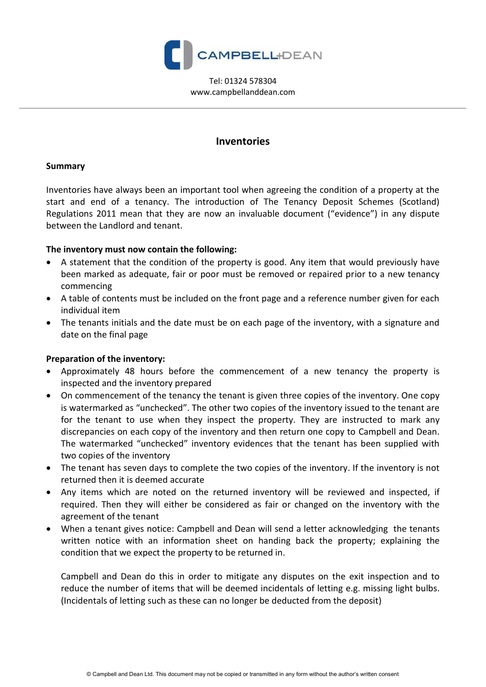

Tel: 01324 578304 www.campbellanddean.com

# **Inventories**

#### **Summary**

Inventories have always been an important tool when agreeing the condition of a property at the start and end of a tenancy. The introduction of The Tenancy Deposit Schemes (Scotland) Regulations 2011 mean that they are now an invaluable document ("evidence") in any dispute between the Landlord and tenant.

### **The inventory must now contain the following:**

- A statement that the condition of the property is good. Any item that would previously have been marked as adequate, fair or poor must be removed or repaired prior to a new tenancy commencing
- A table of contents must be included on the front page and a reference number given for each individual item
- The tenants initials and the date must be on each page of the inventory, with a signature and date on the final page

## **Preparation of the inventory:**

- Approximately 48 hours before the commencement of a new tenancy the property is inspected and the inventory prepared
- On commencement of the tenancy the tenant is given three copies of the inventory. One copy is watermarked as "unchecked". The other two copies of the inventory issued to the tenant are for the tenant to use when they inspect the property. They are instructed to mark any discrepancies on each copy of the inventory and then return one copy to Campbell and Dean. The watermarked "unchecked" inventory evidences that the tenant has been supplied with two copies of the inventory
- The tenant has seven days to complete the two copies of the inventory. If the inventory is not returned then it is deemed accurate
- Any items which are noted on the returned inventory will be reviewed and inspected, if required. Then they will either be considered as fair or changed on the inventory with the agreement of the tenant
- When a tenant gives notice: Campbell and Dean will send a letter acknowledging the tenants written notice with an information sheet on handing back the property; explaining the condition that we expect the property to be returned in.

Campbell and Dean do this in order to mitigate any disputes on the exit inspection and to reduce the number of items that will be deemed incidentals of letting e.g. missing light bulbs. (Incidentals of letting such as these can no longer be deducted from the deposit)